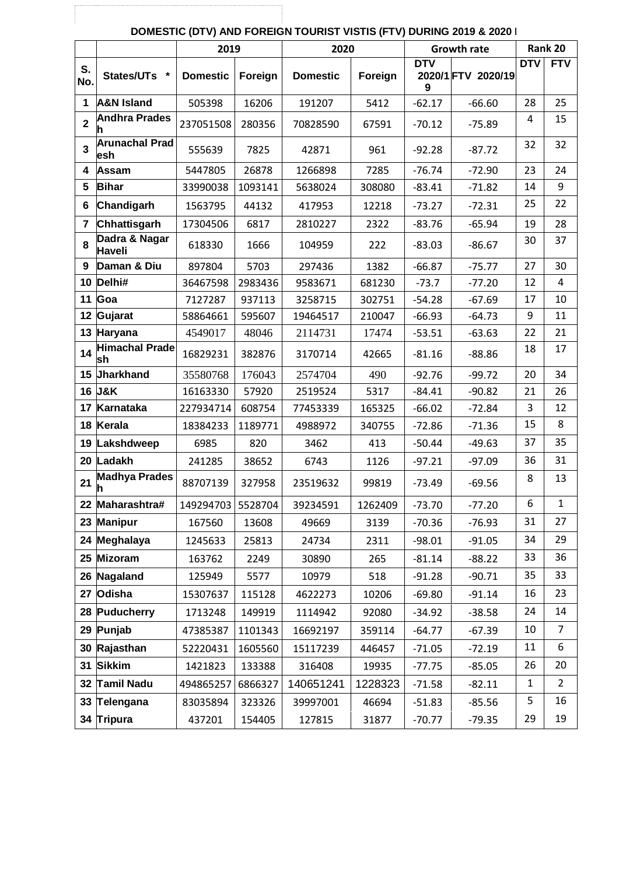|                |                              | 2019              |         | 2020            |         | <b>Growth rate</b> |                    |            | Rank 20        |
|----------------|------------------------------|-------------------|---------|-----------------|---------|--------------------|--------------------|------------|----------------|
| S.<br>No.      | States/UTs *                 | <b>Domestic</b>   | Foreign | <b>Domestic</b> | Foreign | <b>DTV</b><br>9    | 2020/1 FTV 2020/19 | <b>DTV</b> | <b>FTV</b>     |
| $\mathbf{1}$   | <b>A&amp;N Island</b>        | 505398            | 16206   | 191207          | 5412    | $-62.17$           | $-66.60$           | 28         | 25             |
| $\overline{2}$ | <b>Andhra Prades</b><br>h    | 237051508         | 280356  | 70828590        | 67591   | $-70.12$           | $-75.89$           | 4          | 15             |
| 3              | <b>Arunachal Prad</b><br>esh | 555639            | 7825    | 42871           | 961     | $-92.28$           | $-87.72$           | 32         | 32             |
| 4              | Assam                        | 5447805           | 26878   | 1266898         | 7285    | $-76.74$           | $-72.90$           | 23         | 24             |
| 5              | <b>Bihar</b>                 | 33990038          | 1093141 | 5638024         | 308080  | $-83.41$           | $-71.82$           | 14         | 9              |
| 6              | Chandigarh                   | 1563795           | 44132   | 417953          | 12218   | $-73.27$           | $-72.31$           | 25         | 22             |
| $\overline{7}$ | Chhattisgarh                 | 17304506          | 6817    | 2810227         | 2322    | $-83.76$           | $-65.94$           | 19         | 28             |
| 8              | Dadra & Nagar<br>Haveli      | 618330            | 1666    | 104959          | 222     | $-83.03$           | $-86.67$           | 30         | 37             |
| 9              | Daman & Diu                  | 897804            | 5703    | 297436          | 1382    | $-66.87$           | $-75.77$           | 27         | 30             |
| 10             | Delhi#                       | 36467598          | 2983436 | 9583671         | 681230  | $-73.7$            | $-77.20$           | 12         | $\overline{4}$ |
| 11             | Goa                          | 7127287           | 937113  | 3258715         | 302751  | $-54.28$           | $-67.69$           | 17         | 10             |
| 12             | Gujarat                      | 58864661          | 595607  | 19464517        | 210047  | $-66.93$           | $-64.73$           | 9          | 11             |
|                | 13 Haryana                   | 4549017           | 48046   | 2114731         | 17474   | $-53.51$           | $-63.63$           | 22         | 21             |
| 14             | <b>Himachal Prade</b><br>sh  | 16829231          | 382876  | 3170714         | 42665   | $-81.16$           | $-88.86$           | 18         | 17             |
| 15             | Jharkhand                    | 35580768          | 176043  | 2574704         | 490     | $-92.76$           | $-99.72$           | 20         | 34             |
| 16             | J&K                          | 16163330          | 57920   | 2519524         | 5317    | $-84.41$           | $-90.82$           | 21         | 26             |
| 17             | Karnataka                    | 227934714         | 608754  | 77453339        | 165325  | $-66.02$           | $-72.84$           | 3          | 12             |
| 18             | Kerala                       | 18384233          | 1189771 | 4988972         | 340755  | $-72.86$           | $-71.36$           | 15         | 8              |
| 19             | Lakshdweep                   | 6985              | 820     | 3462            | 413     | $-50.44$           | $-49.63$           | 37         | 35             |
| 20             | Ladakh                       | 241285            | 38652   | 6743            | 1126    | $-97.21$           | $-97.09$           | 36         | 31             |
| 21             | <b>Madhya Prades</b>         | 88707139          | 327958  | 23519632        | 99819   | $-73.49$           | $-69.56$           | 8          | 13             |
| 22             | Maharashtra#                 | 149294703 5528704 |         | 39234591        | 1262409 | $-73.70$           | $-77.20$           | 6          | $\mathbf{1}$   |
|                | 23 Manipur                   | 167560            | 13608   | 49669           | 3139    | $-70.36$           | $-76.93$           | 31         | 27             |
|                | 24 Meghalaya                 | 1245633           | 25813   | 24734           | 2311    | $-98.01$           | $-91.05$           | 34         | 29             |
|                | 25 Mizoram                   | 163762            | 2249    | 30890           | 265     | $-81.14$           | $-88.22$           | 33         | 36             |
|                | 26 Nagaland                  | 125949            | 5577    | 10979           | 518     | $-91.28$           | $-90.71$           | 35         | 33             |
| 27             | Odisha                       | 15307637          | 115128  | 4622273         | 10206   | $-69.80$           | $-91.14$           | 16         | 23             |
|                | 28 Puducherry                | 1713248           | 149919  | 1114942         | 92080   | $-34.92$           | $-38.58$           | 24         | 14             |
|                | 29 Punjab                    | 47385387          | 1101343 | 16692197        | 359114  | $-64.77$           | $-67.39$           | 10         | $\overline{7}$ |
|                | 30 Rajasthan                 | 52220431          | 1605560 | 15117239        | 446457  | $-71.05$           | $-72.19$           | 11         | 6              |
|                | 31 Sikkim                    | 1421823           | 133388  | 316408          | 19935   | $-77.75$           | $-85.05$           | 26         | 20             |
|                | 32 Tamil Nadu                | 494865257         | 6866327 | 140651241       | 1228323 | $-71.58$           | $-82.11$           | 1          | $\overline{2}$ |
|                | 33 Telengana                 | 83035894          | 323326  | 39997001        | 46694   | $-51.83$           | $-85.56$           | 5          | 16             |
|                | 34 Tripura                   | 437201            | 154405  | 127815          | 31877   | $-70.77$           | $-79.35$           | 29         | 19             |

## **DOMESTIC (DTV) AND FOREIGN TOURIST VISTIS (FTV) DURING 2019 & 2020 |**